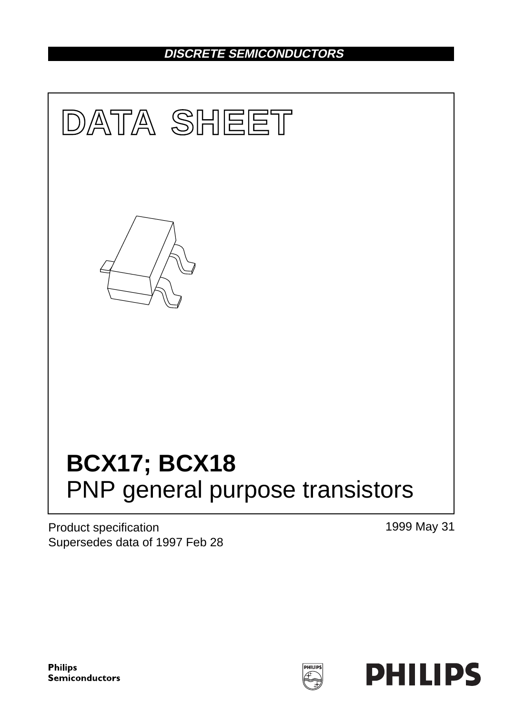## **DISCRETE SEMICONDUCTORS**



Product specification Supersedes data of 1997 Feb 28 1999 May 31

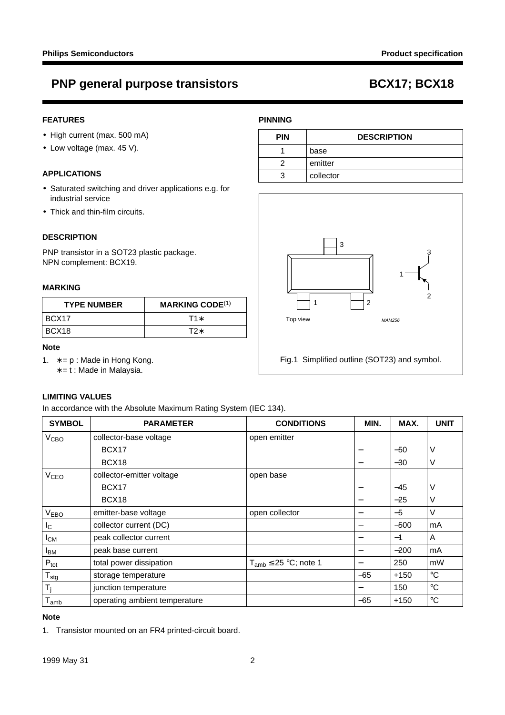### **FEATURES**

- High current (max. 500 mA)
- Low voltage (max. 45 V).

#### **APPLICATIONS**

- Saturated switching and driver applications e.g. for industrial service
- Thick and thin-film circuits.

### **DESCRIPTION**

PNP transistor in a SOT23 plastic package. NPN complement: BCX19.

#### **MARKING**

| <b>TYPE NUMBER</b> | <b>MARKING CODE(1)</b> |  |
|--------------------|------------------------|--|
| IBCX17             | $T1*$                  |  |
| BCX18              | T2*                    |  |

#### **Note**

- 1. ∗ = p : Made in Hong Kong.
	- ∗ = t : Made in Malaysia.

### **LIMITING VALUES**

In accordance with the Absolute Maximum Rating System (IEC 134).

| <b>SYMBOL</b>          | <b>PARAMETER</b>              | <b>CONDITIONS</b>            | MIN.  | MAX.   | <b>UNIT</b> |
|------------------------|-------------------------------|------------------------------|-------|--------|-------------|
| <b>V<sub>CВО</sub></b> | collector-base voltage        | open emitter                 |       |        |             |
|                        | BCX <sub>17</sub>             |                              | —     | $-50$  | V           |
|                        | BCX18                         |                              | —     | $-30$  | V           |
| <b>V<sub>CEO</sub></b> | collector-emitter voltage     | open base                    |       |        |             |
|                        | BCX <sub>17</sub>             |                              |       | $-45$  | V           |
|                        | BCX18                         |                              | —     | $-25$  | V           |
| <b>VEBO</b>            | emitter-base voltage          | open collector               | —     | $-5$   | V           |
| $I_{\rm C}$            | collector current (DC)        |                              | —     | $-500$ | mA          |
| I <sub>СМ</sub>        | peak collector current        |                              | —     | $-1$   | A           |
| <b>I</b> BM            | peak base current             |                              | —     | $-200$ | mA          |
| $P_{\text{tot}}$       | total power dissipation       | $T_{amb} \leq 25$ °C; note 1 |       | 250    | mW          |
| $T_{\text{stg}}$       | storage temperature           |                              | $-65$ | $+150$ | $^{\circ}C$ |
| $T_i$                  | junction temperature          |                              |       | 150    | $^{\circ}C$ |
| $T_{amb}$              | operating ambient temperature |                              | $-65$ | $+150$ | $^{\circ}C$ |

#### **Note**

1. Transistor mounted on an FR4 printed-circuit board.

#### **PINNING**

| <b>PIN</b> | <b>DESCRIPTION</b> |  |
|------------|--------------------|--|
|            | base               |  |
|            | emitter            |  |
|            | collector          |  |

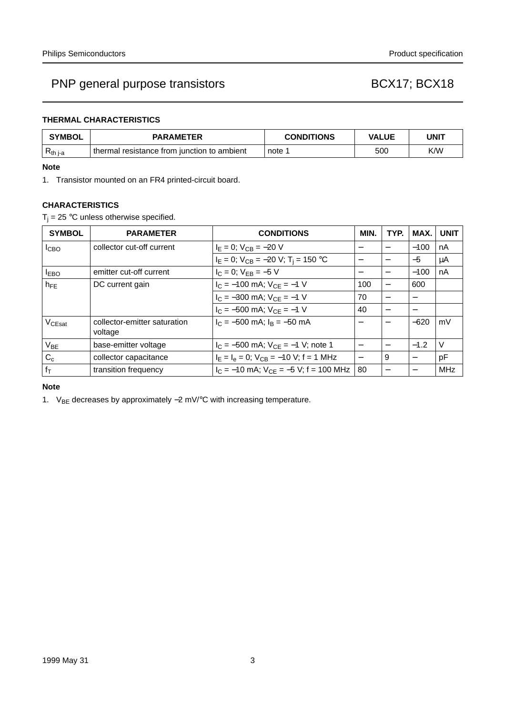### **THERMAL CHARACTERISTICS**

| <b>SYMBOL</b> | <b>PARAMETER</b>                            | <b>CONDITIONS</b> | <b>VALUE</b> | UNIT |
|---------------|---------------------------------------------|-------------------|--------------|------|
| $R_{th i-a}$  | thermal resistance from junction to ambient | note 1            | 500          | K/W  |

#### **Note**

1. Transistor mounted on an FR4 printed-circuit board.

### **CHARACTERISTICS**

 $T_i = 25$  °C unless otherwise specified.

| <b>SYMBOL</b>      | <b>PARAMETER</b>                        | <b>CONDITIONS</b>                             | MIN.                     | TYP.                     | MAX.   | <b>UNIT</b> |
|--------------------|-----------------------------------------|-----------------------------------------------|--------------------------|--------------------------|--------|-------------|
| I <sub>CBO</sub>   | collector cut-off current               | $I_E = 0$ ; $V_{CB} = -20$ V                  |                          |                          | $-100$ | nA          |
|                    |                                         | $I_E = 0$ ; $V_{CB} = -20$ V; $T_i = 150$ °C  |                          | $\overline{\phantom{0}}$ | $-5$   | μA          |
| $I_{EBO}$          | emitter cut-off current                 | $I_C = 0$ ; $V_{EB} = -5$ V                   | —                        | $\overline{\phantom{0}}$ | $-100$ | nA          |
| $h_{FF}$           | DC current gain                         | $I_C = -100$ mA; $V_{CE} = -1$ V              | 100                      | $\overline{\phantom{0}}$ | 600    |             |
|                    |                                         | $I_C = -300$ mA; $V_{CE} = -1$ V              | 70                       | $\overline{\phantom{0}}$ |        |             |
|                    |                                         | $I_C = -500$ mA; $V_{CE} = -1$ V              | 40                       |                          |        |             |
| V <sub>CEsat</sub> | collector-emitter saturation<br>voltage | $I_C = -500$ mA; $I_B = -50$ mA               | —                        |                          | $-620$ | mV          |
| $V_{BE}$           | base-emitter voltage                    | $I_C = -500$ mA; $V_{CE} = -1$ V; note 1      | $\overline{\phantom{0}}$ |                          | $-1.2$ | $\vee$      |
| $C_c$              | collector capacitance                   | $I_F = I_e = 0$ ; $V_{CB} = -10$ V; f = 1 MHz |                          | 9                        |        | pF          |
| $f_T$              | transition frequency                    | $I_C = -10$ mA; $V_{CF} = -5$ V; f = 100 MHz  | 80                       |                          |        | <b>MHz</b>  |

### **Note**

1. V<sub>BE</sub> decreases by approximately -2 mV/°C with increasing temperature.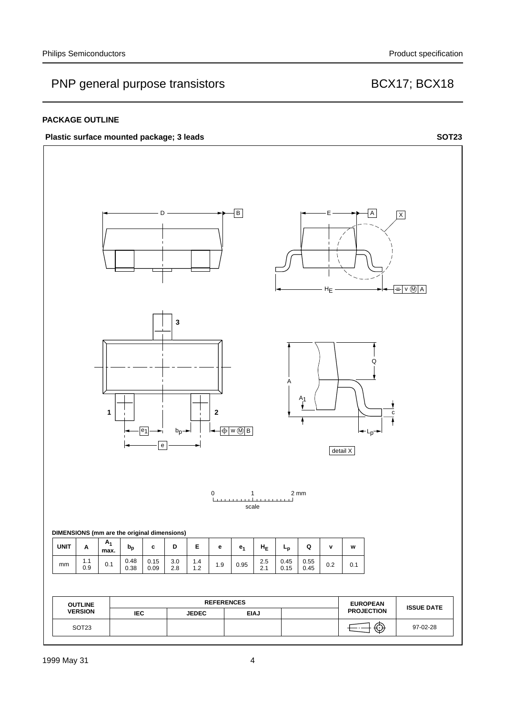#### **PACKAGE OUTLINE**

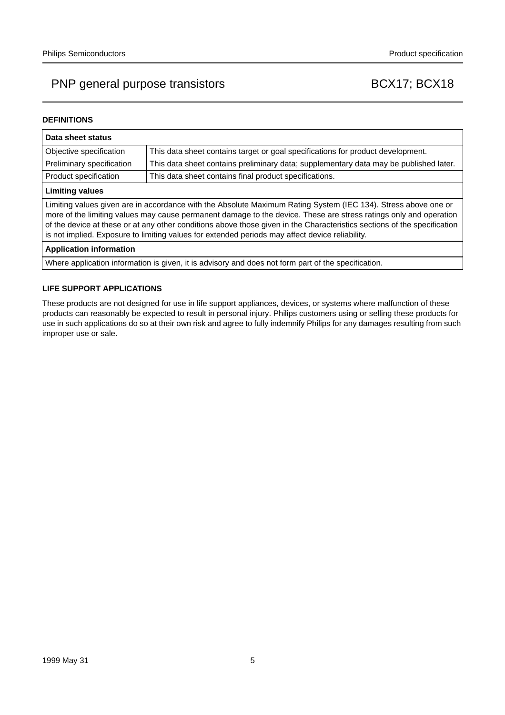#### **DEFINITIONS**

| Data sheet status                                                                                                                                                                                                                                                                                                                                                                                                                                                  |                                                                                       |  |  |
|--------------------------------------------------------------------------------------------------------------------------------------------------------------------------------------------------------------------------------------------------------------------------------------------------------------------------------------------------------------------------------------------------------------------------------------------------------------------|---------------------------------------------------------------------------------------|--|--|
| This data sheet contains target or goal specifications for product development.<br>Objective specification                                                                                                                                                                                                                                                                                                                                                         |                                                                                       |  |  |
| Preliminary specification                                                                                                                                                                                                                                                                                                                                                                                                                                          | This data sheet contains preliminary data; supplementary data may be published later. |  |  |
| Product specification                                                                                                                                                                                                                                                                                                                                                                                                                                              | This data sheet contains final product specifications.                                |  |  |
| <b>Limiting values</b>                                                                                                                                                                                                                                                                                                                                                                                                                                             |                                                                                       |  |  |
| Limiting values given are in accordance with the Absolute Maximum Rating System (IEC 134). Stress above one or<br>more of the limiting values may cause permanent damage to the device. These are stress ratings only and operation<br>of the device at these or at any other conditions above those given in the Characteristics sections of the specification<br>is not implied. Exposure to limiting values for extended periods may affect device reliability. |                                                                                       |  |  |
| <b>Application information</b>                                                                                                                                                                                                                                                                                                                                                                                                                                     |                                                                                       |  |  |
| Where application information is given, it is advisory and does not form part of the specification.                                                                                                                                                                                                                                                                                                                                                                |                                                                                       |  |  |

#### **LIFE SUPPORT APPLICATIONS**

These products are not designed for use in life support appliances, devices, or systems where malfunction of these products can reasonably be expected to result in personal injury. Philips customers using or selling these products for use in such applications do so at their own risk and agree to fully indemnify Philips for any damages resulting from such improper use or sale.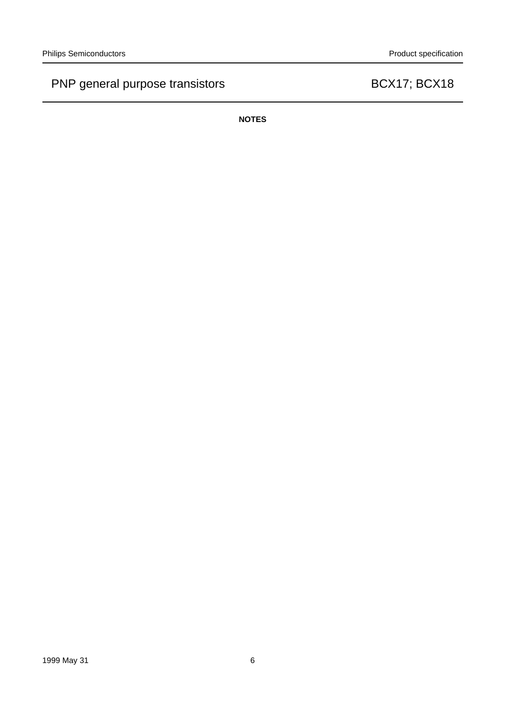**NOTES**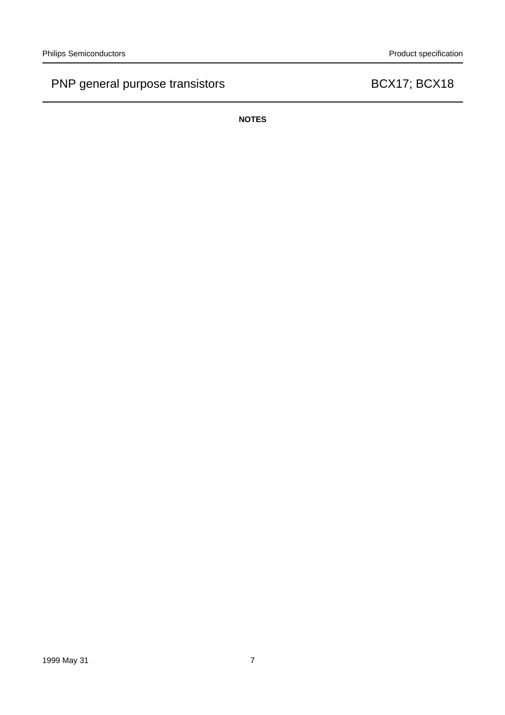**NOTES**